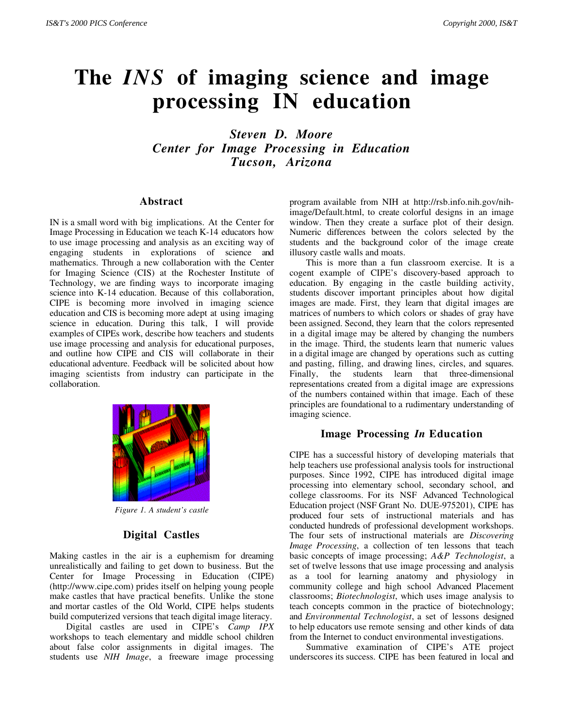# **The** *INS* **of imaging science and image processing IN education**

*Steven D. Moore Center for Image Processing in Education Tucson, Arizona*

#### **Abstract**

IN is a small word with big implications. At the Center for Image Processing in Education we teach K-14 educators how to use image processing and analysis as an exciting way of engaging students in explorations of science and mathematics. Through a new collaboration with the Center for Imaging Science (CIS) at the Rochester Institute of Technology, we are finding ways to incorporate imaging science into K-14 education. Because of this collaboration, CIPE is becoming more involved in imaging science education and CIS is becoming more adept at using imaging science in education. During this talk, I will provide examples of CIPEs work, describe how teachers and students use image processing and analysis for educational purposes, and outline how CIPE and CIS will collaborate in their educational adventure. Feedback will be solicited about how imaging scientists from industry can participate in the collaboration.



*Figure 1. A student's castle*

### **Digital Castles**

Making castles in the air is a euphemism for dreaming unrealistically and failing to get down to business. But the Center for Image Processing in Education (CIPE) (http://www.cipe.com) prides itself on helping young people make castles that have practical benefits. Unlike the stone and mortar castles of the Old World, CIPE helps students build computerized versions that teach digital image literacy.

Digital castles are used in CIPE's *Camp IPX* workshops to teach elementary and middle school children about false color assignments in digital images. The students use *NIH Image*, a freeware image processing program available from NIH at http://rsb.info.nih.gov/nihimage/Default.html, to create colorful designs in an image window. Then they create a surface plot of their design. Numeric differences between the colors selected by the students and the background color of the image create illusory castle walls and moats.

This is more than a fun classroom exercise. It is a cogent example of CIPE's discovery-based approach to education. By engaging in the castle building activity, students discover important principles about how digital images are made. First, they learn that digital images are matrices of numbers to which colors or shades of gray have been assigned. Second, they learn that the colors represented in a digital image may be altered by changing the numbers in the image. Third, the students learn that numeric values in a digital image are changed by operations such as cutting and pasting, filling, and drawing lines, circles, and squares. Finally, the students learn that three-dimensional representations created from a digital image are expressions of the numbers contained within that image. Each of these principles are foundational to a rudimentary understanding of imaging science.

### **Image Processing** *In* **Education**

CIPE has a successful history of developing materials that help teachers use professional analysis tools for instructional purposes. Since 1992, CIPE has introduced digital image processing into elementary school, secondary school, and college classrooms. For its NSF Advanced Technological Education project (NSF Grant No. DUE-975201), CIPE has produced four sets of instructional materials and has conducted hundreds of professional development workshops. The four sets of instructional materials are *Discovering Image Processing*, a collection of ten lessons that teach basic concepts of image processing; *A&P Technologist*, a set of twelve lessons that use image processing and analysis as a tool for learning anatomy and physiology in community college and high school Advanced Placement classrooms; *Biotechnologist*, which uses image analysis to teach concepts common in the practice of biotechnology; and *Environmental Technologist*, a set of lessons designed to help educators use remote sensing and other kinds of data from the Internet to conduct environmental investigations.

Summative examination of CIPE's ATE project underscores its success. CIPE has been featured in local and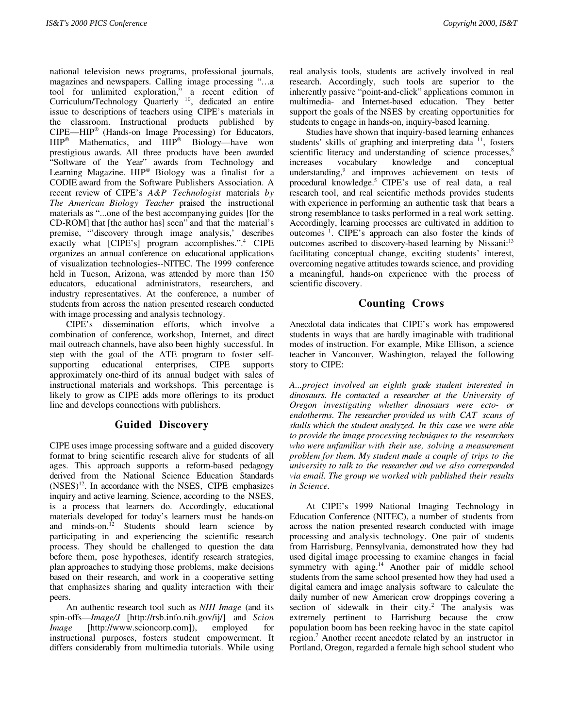national television news programs, professional journals, magazines and newspapers. Calling image processing "...a tool for unlimited exploration," a recent edition of tool for unlimited exploration," a recent edition of Curriculum/Technology Quarterly<sup>10</sup>, dedicated an entire issue to descriptions of teachers using CIPE's materials in the classroom. Instructional products published by CIPE—HIP® (Hands-on Image Processing) for Educators, HIP® Mathematics, and HIP® Biology—have won prestigious awards. All three products have been awarded "Software of the Year" awards from Technology and Learning Magazine. HIP® Biology was a finalist for a CODIE award from the Software Publishers Association. A recent review of CIPE's *A&P Technologist* materials *by The American Biology Teacher* praised the instructional materials as "...one of the best accompanying guides [for the CD-ROM] that [the author has] seen" and that the material's premise, "'discovery through image analysis,' describes exactly what [CIPE's] program accomplishes.".<sup>4</sup> CIPE organizes an annual conference on educational applications of visualization technologies--NITEC. The 1999 conference held in Tucson, Arizona, was attended by more than 150 educators, educational administrators, researchers, and industry representatives. At the conference, a number of students from across the nation presented research conducted with image processing and analysis technology.

CIPE's dissemination efforts, which involve a combination of conference, workshop, Internet, and direct mail outreach channels, have also been highly successful. In step with the goal of the ATE program to foster selfsupporting educational enterprises, CIPE supports approximately one-third of its annual budget with sales of instructional materials and workshops. This percentage is likely to grow as CIPE adds more offerings to its product line and develops connections with publishers.

## **Guided Discovery**

CIPE uses image processing software and a guided discovery format to bring scientific research alive for students of all ages. This approach supports a reform-based pedagogy derived from the National Science Education Standards  $(NSES)^{12}$ . In accordance with the NSES, CIPE emphasizes inquiry and active learning. Science, according to the NSES, is a process that learners do. Accordingly, educational materials developed for today's learners must be hands-on and minds-on. $^{12}$  Students should learn science by participating in and experiencing the scientific research process. They should be challenged to question the data before them, pose hypotheses, identify research strategies, plan approaches to studying those problems, make decisions based on their research, and work in a cooperative setting that emphasizes sharing and quality interaction with their peers.

An authentic research tool such as *NIH Image* (and its spin-offs—*Image/J* [http://rsb.info.nih.gov/ij/] and *Scion Image* [http://www.scioncorp.com]), employed for instructional purposes, fosters student empowerment. It differs considerably from multimedia tutorials. While using real analysis tools, students are actively involved in real research. Accordingly, such tools are superior to the inherently passive "point-and-click" applications common in multimedia- and Internet-based education. They better support the goals of the NSES by creating opportunities for students to engage in hands-on, inquiry-based learning.

Studies have shown that inquiry-based learning enhances students' skills of graphing and interpreting data  $11$ , fosters scientific literacy and understanding of science processes,<sup>8</sup> increases vocabulary knowledge and conceptual understanding,<sup>9</sup> and improves achievement on tests of procedural knowledge.<sup>5</sup> CIPE's use of real data, a real research tool, and real scientific methods provides students with experience in performing an authentic task that bears a strong resemblance to tasks performed in a real work setting. Accordingly, learning processes are cultivated in addition to outcomes <sup>1</sup>. CIPE's approach can also foster the kinds of outcomes ascribed to discovery-based learning by Nissani:<sup>13</sup> facilitating conceptual change, exciting students' interest, overcoming negative attitudes towards science, and providing a meaningful, hands-on experience with the process of scientific discovery.

# **Counting Crows**

Anecdotal data indicates that CIPE's work has empowered students in ways that are hardly imaginable with traditional modes of instruction. For example, Mike Ellison, a science teacher in Vancouver, Washington, relayed the following story to CIPE:

*A...project involved an eighth grade student interested in dinosaurs. He contacted a researcher at the University of Oregon investigating whether dinosaurs were ecto- or endotherms. The researcher provided us with CAT scans of skulls which the student analyzed. In this case we were able to provide the image processing techniques to the researchers who were unfamiliar with their use, solving a measurement problem for them. My student made a couple of trips to the university to talk to the researcher and we also corresponded via email. The group we worked with published their results in Science.*

At CIPE's 1999 National Imaging Technology in Education Conference (NITEC), a number of students from across the nation presented research conducted with image processing and analysis technology. One pair of students from Harrisburg, Pennsylvania, demonstrated how they had used digital image processing to examine changes in facial symmetry with aging.<sup>14</sup> Another pair of middle school students from the same school presented how they had used a digital camera and image analysis software to calculate the daily number of new American crow droppings covering a section of sidewalk in their city.<sup>2</sup> The analysis was extremely pertinent to Harrisburg because the crow population boom has been reeking havoc in the state capitol region.<sup>7</sup> Another recent anecdote related by an instructor in Portland, Oregon, regarded a female high school student who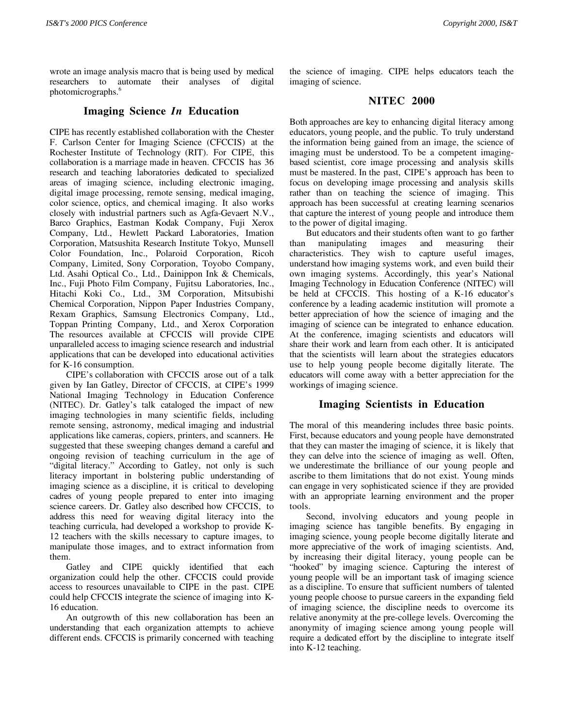wrote an image analysis macro that is being used by medical researchers to automate their analyses of digital photomicrographs.<sup>6</sup>

## **Imaging Science** *In* **Education**

CIPE has recently established collaboration with the Chester F. Carlson Center for Imaging Science (CFCCIS) at the Rochester Institute of Technology (RIT). For CIPE, this collaboration is a marriage made in heaven. CFCCIS has 36 research and teaching laboratories dedicated to specialized areas of imaging science, including electronic imaging, digital image processing, remote sensing, medical imaging, color science, optics, and chemical imaging. It also works closely with industrial partners such as Agfa-Gevaert N.V., Barco Graphics, Eastman Kodak Company, Fuji Xerox Company, Ltd., Hewlett Packard Laboratories, Imation Corporation, Matsushita Research Institute Tokyo, Munsell Color Foundation, Inc., Polaroid Corporation, Ricoh Company, Limited, Sony Corporation, Toyobo Company, Ltd. Asahi Optical Co., Ltd., Dainippon Ink & Chemicals, Inc., Fuji Photo Film Company, Fujitsu Laboratories, Inc., Hitachi Koki Co., Ltd., 3M Corporation, Mitsubishi Chemical Corporation, Nippon Paper Industries Company, Rexam Graphics, Samsung Electronics Company, Ltd., Toppan Printing Company, Ltd., and Xerox Corporation The resources available at CFCCIS will provide CIPE unparalleled access to imaging science research and industrial applications that can be developed into educational activities for K-16 consumption.

CIPE's collaboration with CFCCIS arose out of a talk given by Ian Gatley, Director of CFCCIS, at CIPE's 1999 National Imaging Technology in Education Conference (NITEC). Dr. Gatley's talk cataloged the impact of new imaging technologies in many scientific fields, including remote sensing, astronomy, medical imaging and industrial applications like cameras, copiers, printers, and scanners. He suggested that these sweeping changes demand a careful and ongoing revision of teaching curriculum in the age of "digital literacy." According to Gatley, not only is such literacy important in bolstering public understanding of imaging science as a discipline, it is critical to developing cadres of young people prepared to enter into imaging science careers. Dr. Gatley also described how CFCCIS, to address this need for weaving digital literacy into the teaching curricula, had developed a workshop to provide K-12 teachers with the skills necessary to capture images, to manipulate those images, and to extract information from them.

Gatley and CIPE quickly identified that each organization could help the other. CFCCIS could provide access to resources unavailable to CIPE in the past. CIPE could help CFCCIS integrate the science of imaging into K-16 education.

An outgrowth of this new collaboration has been an understanding that each organization attempts to achieve different ends. CFCCIS is primarily concerned with teaching the science of imaging. CIPE helps educators teach the imaging of science.

## **NITEC 2000**

Both approaches are key to enhancing digital literacy among educators, young people, and the public. To truly understand the information being gained from an image, the science of imaging must be understood. To be a competent imagingbased scientist, core image processing and analysis skills must be mastered. In the past, CIPE's approach has been to focus on developing image processing and analysis skills rather than on teaching the science of imaging. This approach has been successful at creating learning scenarios that capture the interest of young people and introduce them to the power of digital imaging.

But educators and their students often want to go farther than manipulating images and measuring their characteristics. They wish to capture useful images, understand how imaging systems work, and even build their own imaging systems. Accordingly, this year's National Imaging Technology in Education Conference (NITEC) will be held at CFCCIS. This hosting of a K-16 educator's conference by a leading academic institution will promote a better appreciation of how the science of imaging and the imaging of science can be integrated to enhance education. At the conference, imaging scientists and educators will share their work and learn from each other. It is anticipated that the scientists will learn about the strategies educators use to help young people become digitally literate. The educators will come away with a better appreciation for the workings of imaging science.

## **Imaging Scientists in Education**

The moral of this meandering includes three basic points. First, because educators and young people have demonstrated that they can master the imaging of science, it is likely that they can delve into the science of imaging as well. Often, we underestimate the brilliance of our young people and ascribe to them limitations that do not exist. Young minds can engage in very sophisticated science if they are provided with an appropriate learning environment and the proper tools.

Second, involving educators and young people in imaging science has tangible benefits. By engaging in imaging science, young people become digitally literate and more appreciative of the work of imaging scientists. And, by increasing their digital literacy, young people can be "hooked" by imaging science. Capturing the interest of young people will be an important task of imaging science as a discipline. To ensure that sufficient numbers of talented young people choose to pursue careers in the expanding field of imaging science, the discipline needs to overcome its relative anonymity at the pre-college levels. Overcoming the anonymity of imaging science among young people will require a dedicated effort by the discipline to integrate itself into K-12 teaching.